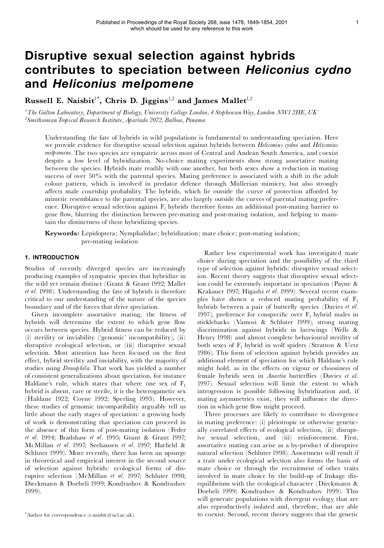# **Disruptive sexual selection against hybrids contributes to speciation between** *Heliconius cydno* **and** *Heliconius melpomene*

**Russell E. Naisbit** 1\* **, Chris D. Jiggins** 1,2 **and James Mallet** 1,2

<sup>1</sup>*The Galton Laboratory, Department of Biology, University College London, 4 StephensonWay, London NW1 2HE, UK* <sup>2</sup>*SmithsonianTropical Research Institute, Apartado 2072, Balboa, Panama*

Understanding the fate of hybrids in wild populations is fundamental to understanding speciation. Here we provide evidence for disruptive sexual selection against hybrids between *Heliconius cydno* and *Heliconius melpomene*. The two species are sympatric across most of Central and Andean South America, and coexist despite a low level of hybridization. No-choice mating experiments show strong assortative mating between the species. Hybrids mate readily with one another, but both sexes show a reduction in mating success of over 50% with the parental species. Mating preference is associated with a shift in the adult colour pattern, which is involved in predator defence through Müllerian mimicry, but also strongly affects male courtship probability. The hybrids, which lie outside the curve of protection afforded by mimetic resemblance to the parental species, are also largely outside the curves of parental mating prefer ence. Disruptive sexual selection against  $F_1$  hybrids therefore forms an additional post-mating barrier to gene flow, blurring the distinction between pre-mating and post-mating isolation, and helping to maintain the distinctness of these hybridizing species.

**Keywords:** Lepidoptera; Nymphalidae; hybridization; mate choice; post-mating isolation; pre-mating isolation

## **1. INTRODUCTION**

Studies of recently diverged species are increasingly producing examples of sympatric species that hybridize in the wild yet remain distinct (Grant & Grant 1992; Mallet *et al*. 1998). Understanding the fate of hybrids is therefore critical to our understanding of the nature of the species boundary and of the forces that drive speciation.

Given incomplete assortative mating, the fitness of hybrids will determine the extent to which gene flow occurs between species. Hybrid fitness can be reduced by (i) sterility or inviability (`genomic' incompatibility), (ii) disruptive ecological selection, or (iii) disruptive sexual selection. Most attention has been focused on the first effect, hybrid sterility and inviability, with the majority of studies using *Drosophila*. That work has yielded a number of consistent generalizations about speciation, for instance Haldane's rule, which states that where one sex of  $F_1$ hybrid is absent, rare or sterile, it is the heterogametic sex (Haldane 1922; Coyne 1992; Sperling 1993). However, these studies of genomic incompatibility arguably tell us little about the early stages of speciation: a growing body of work is demonstrating that speciation can proceed in the absence of this form of post-mating isolation (Feder *et al*. 1994; Bradshaw *et al*. 1995; Grant & Grant 1997; McMillan et al. 1997; Seehausen et al. 1997; Hatfield & Schluter 1999). More recently, there has been an upsurge in theoretical and empirical interest in the second source of selection against hybrids: ecological forms of dis ruptive selection (McMillan *et al*. 1997; Schluter 1998; Dieckmann & Doebeli 1999; Kondrashov & Kondrashov 1999).

Rather less experimental work has investigated mate choice during speciation and the possibility of the third type of selection against hybrids: disruptive sexual selection. Recent theory suggests that disruptive sexual selection could be extremely important in speciation (Payne & Krakauer 1997; Higashi *et al*. 1999). Several recent exam ples have shown a reduced mating probability of  $F_1$ hybrids between a pair of butter£y species (Davies *et al*. 1997), preference for conspecific over  $F_1$  hybrid males in sticklebacks (Vamosi & Schluter 1999), strong mating discrimination against hybrids in lacewings (Wells & Henry 1998) and almost complete behavioural sterility of both sexes of  $F_1$  hybrid in wolf spiders (Stratton & Uetz 1986). This form of selection against hybrids provides an additional element of speciation for which Haldane's rule might hold, as in the effects on vigour or choosiness of female hybrids seen in *Anartia* butterflies (Davies *et al.* 1997). Sexual selection will limit the extent to which introgression is possible following hybridization and, if mating asymmetries exist, they will influence the direction in which gene flow might proceed.

Three processes are likely to contribute to divergence in mating preference: (i) pleiotropic or otherwise genetic ally correlated effects of ecological selection, (ii) disruptive sexual selection, and (iii) reinforcement. First, assortative mating can arise as a by-product of disruptive natural selection (Schluter 1998). Assortment will result if a trait under ecological selection also forms the basis of mate choice or through the recruitment of other traits involved in mate choice by the build-up of linkage dis equilibrium with the ecological character (Dieckmann & Doebeli 1999; Kondrashov & Kondrashov 1999). This will generate populations with divergent ecology that are also reproductively isolated and, therefore, that are able to coexist. Second, recent theory suggests that the genetic

<sup>\*</sup>Author for correspondence (r.naisbit@ucl.ac.uk).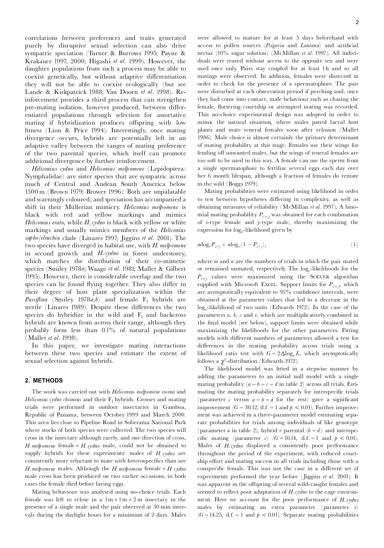correlations between preferences and traits generated purely by disruptive sexual selection can also drive sympatric speciation (Turner & Burrows 1995; Payne & Krakauer 1997, 2000; Higashi *et al*. 1999). However, the daughter populations from such a process may be able to coexist genetically, but without adaptive differentiation they will not be able to coexist ecologically (but see Lande & Kirkpatrick 1988; Van Doorn *et al*. 1998). Reinforcement provides a third process that can strengthen pre-mating isolation, however produced, between differentiated populations through selection for assortative mating if hybridization produces offspring with low fitness (Liou & Price 1994). Interestingly, once mating divergence occurs, hybrids are potentially left in an adaptive valley between the ranges of mating preference of the two parental species, which itself can promote additional divergence by further reinforcement.

*Heliconius cydno* and *Heliconius melpomene* (Lepidoptera: Nymphalidae) are sister species that are sympatric across much of Central and Andean South America below 1500 m (Brown 1979; Brower 1996). Both are unpalatable and warningly coloured, and speciation has accompanied a shift in their MÏllerian mimicry. *Heliconius melpomene* is black with red and yellow markings and mimics *Heliconius erato*, while *H. cydno* is black with yellow or white markings and usually mimics members of the *Heliconius sapho*/*eleuchia* clade (Linares 1997; Jiggins *et al*. 2001). The two species have diverged in habitat use, with *H. melpomene* in second growth and *H. cydno* in forest understorey, which matches the distribution of their co-mimetic species (Smiley 1978*a*; Waage *et al*. 1981; Mallet & Gilbert 1995). However, there is considerable overlap and the two species can be found flying together. They also differ in their degree of host plant specialization within the *Passiflora* (Smiley 1978*a*,*b*) and female  $F_1$  hybrids are sterile (Linares 1989). Despite these differences the two species do hybridize in the wild and  $F_1$  and backcross hybrids are known from across their range, although they probably form less than 0.1% of natural populations (Mallet *et al*. 1998).

In this paper, we investigate mating interactions between these two species and estimate the extent of sexual selection against hybrids.

#### **2. METHODS**

The work was carried out with *Heliconius melpomene rosina* and *Heliconius cydno chioneus* and their  $F_1$  hybrids. Crosses and mating trials were performed in outdoor insectaries in Gamboa, Republic of Panama, between October 1999 and March 2000. This area lies close to Pipeline Road in Soberanıa National Park where stocks of both species were collected. The two species will cross in the insectary although rarely, and one direction of cross, *H. melpomene* female  $\times$  *H. cydno* male, could not be obtained to supply hybrids for these experiments: males of *H.cydno* are consistently more reluctant to mate with heterospecifics than are *H. melpomene* males. Although the *H. melpomene* female  $\times$  *H. cydno* male cross has been produced on two earlier occasions, in both cases the female died before laying eggs.

Mating behaviour was analysed using no-choice trials. Each female was left to eclose in a  $1m \times 1m \times 2m$  insectary in the presence of a single male and the pair observed at 30 min intervals during the daylight hours for a minimum of 2 days. Males were allowed to mature for at least 5 days beforehand with access to pollen sources (*Psiguria* and *Lantana*) and artificial nectar (10% sugar solution) (McMillan *et al*. 1997). All indivi duals were reared without access to the opposite sex and were used once only. Pairs stay coupled for at least 1h and so all matings were observed. In addition, females were dissected in order to check for the presence of a spermatophore. The pair were disturbed at each observation period if perching and, once they had come into contact, male behaviour such as chasing the female, fluttering courtship or attempted mating was recorded. This no-choice experimental design was adopted in order to mimic the natural situation, where males patrol larval host plants and mate teneral females soon after eclosion (Mallet 1986). Male choice is almost certainly the primary determinant of mating probability at this stage. Females use their wings for fending off unwanted males, but the wings of teneral females are too soft to be used in this way. A female can use the sperm from a single spermatophore to fertilize several eggs each day over her 6 month lifespan, although a fraction of females do remate in the wild (Boggs 1979).

Mating probabilities were estimated using likelihood in order to test between hypotheses differing in complexity, as well as obtaining measures of reliability (McMillan *et al*. 1997). A bino mial mating probability  $P_{i \times j}$  was obtained for each combination of *i*-type female and *j*-type male, thereby maximizing the expression for  $log_e$ -likelihood given by

$$
m\log_{e}P_{i\times j} + n\log_{e}(1-P_{i\times j}), \tag{1}
$$

where *m* and *n* are the numbers of trials in which the pair mated or remained unmated, respectively. The log-likelihoods for the  $P_{i \times j}$  values were maximized using the SOLVER algorithm supplied with Microsoft Excel. Support limits for  $P_{i \times j}$ , which are asymptotically equivalent to 95% confidence intervals, were obtained at the parameter values that led to a decrease in the loge-likelihood of two units (Edwards 1972). In the case of the parameters *a*, *b*, *c* and *e*, which are multiplicatively combined in the final model (see below), support limits were obtained while maximizing the likelihoods for the other parameters. Fitting models with different numbers of parameters allowed a test for differences in the mating probability across trials using a likelihood ratio test with  $G = 2 \Delta \log_e L$ , which asymptotically follows a  $\chi^2$ -distribution (Edwards 1972).

The likelihood model was fitted in a stepwise manner by adding the parameters to an initial null model with a single mating probability  $(a = b = c = d$  in table 2) across all trials. Estimating the mating probability separately for interspecific trials (parameter *c* versus  $a = b = d$  for the rest) gave a significant improvement  $(G = 30.12, d.f. = 1$  and  $p < 0.01$ ). Further improvement was achieved in a three-parameter model estimating separate probabilities for trials among individuals of like genotype (parameter *a* in table 2), hybrid  $\times$  parental (*b* = *d*) and interspecific mating (parameter *c*) (*G* = 10.14, d.f. = 1 and  $p < 0.01$ ). Males of *H.cydno* displayed a consistently poor performance throughout the period of the experiment, with reduced courtship effort and mating success in all trials including those with a conspecific female. This was not the case in a different set of experiments performed the year before ( Jiggins *et al*. 2001). It was apparent in the offspring of several wild-caught females and seemed to reflect poor adaptation of *H. cydno* to the cage environment. Here we account for the poor performance of *H.cydno* males by estimating an extra parameter (parameter *e*)  $(G = 14.25, d.f. = 1$  and  $p < 0.01$ ). Separate mating probabilities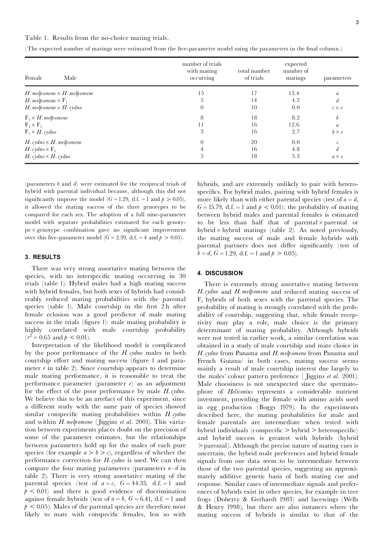Table 1. Results from the no-choice mating trials.

| Female<br>Male                        | number of trials<br>with mating<br>occurring | total number<br>of trials | expected<br>number of<br>matings | parameters       |
|---------------------------------------|----------------------------------------------|---------------------------|----------------------------------|------------------|
| H. melp omene $\times$ H. melp omene  | 15                                           | 17                        | 13.4                             | a                |
| H. melp omene $\times$ $\mathrm{F}_1$ |                                              | 14                        | 4.2                              | $\overline{d}$   |
| $H.$ melp omene $\times$ $H.$ cydno   | $\theta$                                     | 10                        | 0.0                              | $c \times e$     |
| $F_1 \times H$ . melpomene            | 8                                            | 18                        | 8.2                              | $\boldsymbol{b}$ |
| $F_1 \times F_1$                      | 11                                           | 16                        | 12.6                             | $\boldsymbol{a}$ |
| $F_1 \times H$ . cydno                | 3                                            | 16                        | 2.7                              | $b \times e$     |
| $H.$ cydno $\times$ $H.$ melp omene   |                                              | 20                        | 0.0                              | $\mathcal C$     |
| H. cydno $\times$ F <sub>1</sub>      |                                              | 16                        | 4.8                              | d.               |
| $H.$ cydno $\times$ $H.$ cydno        | 5                                            | 18                        | 5.3                              | $a \times e$     |

(The expected number of matings were estimated from the five-parameter model using the parameters in the final column.)

(parameters *b* and *d*) were estimated for the reciprocal trials of hybrid with parental individual because, although this did not significantly improve the model  $(G = 1.29, d.f. = 1 \text{ and } p > 0.05)$ , it allowed the mating success of the three genotypes to be compared for each sex. The adoption of a full nine-parameter model with separate probabilities estimated for each genoty  $pe \times genotype$  combination gave no significant improvement over this five-parameter model ( $G = 2.39$ , d.f.  $= 4$  and  $p > 0.05$ ).

#### **3. RESULTS**

There was very strong assortative mating between the species, with no interspecific mating occurring in 30 trials (table 1). Hybrid males had a high mating success with hybrid females, but both sexes of hybrids had consid erably reduced mating probabilities with the parental species (table 1). Male courtship in the first 2h after female eclosion was a good predictor of male mating success in the trials (figure 1): male mating probability is highly correlated with male courtship probability  $(r^2 = 0.65$  and  $p < 0.01$ ).<br>Interpretation of the likelihood model is complicated

by the poor performance of the *H. cydno* males in both courtship effort and mating success (figure 1 and parameter *e* in table 2). Since courtship appears to determine male mating performance, it is reasonable to treat the performance parameter (parameter *e*) as an adjustment for the effect of the poor performance by male *H. cydno*. We believe this to be an artefact of this experiment, since a different study with the same pair of species showed similar conspecific mating probabilities within *H. cydno* and within *H. melpomene* ( Jiggins *et al*. 2001). This variation between experiments places doubt on the precision of some of the parameter estimates, but the relationships between parameters hold up for the males of each pure species (for example  $a > b > c$ ), regardless of whether the performance correction for *H. cydno* is used. We can then compare the four mating parameters (parameters  $a-d$  in table 2). There is very strong assortative mating of the parental species (test of  $a = c$ ,  $G = 44.33$ , d.f.  $= 1$  and  $p < 0.01$ ) and there is good evidence of discrimination against female hybrids (test of  $a = b$ ,  $G = 6.41$ , d.f.  $= 1$  and  $p < 0.05$ ). Males of the parental species are therefore most likely to mate with conspecific females, less so with

hybrids, and are extremely unlikely to pair with heterospecifics. For hybrid males, pairing with hybrid females is more likely than with either parental species (test of  $a = d$ ,  $G = 15.79$ , d.f. = 1 and  $p < 0.01$ ): the probability of mating between hybrid males and parental females is estimated to be less than half that of parental  $\times$  parental or hybrid  $\times$  hybrid matings (table 2). As noted previously, the mating success of male and female hybrids with parental partners does not differ significantly (test of  $b = d, G = 1.29, d.f. = 1$  and  $p > 0.05$ ).

### **4. DISCUSSION**

There is extremely strong assortative mating between *H. cydno* and *H. melpomene* and reduced mating success of  $F_1$  hybrids of both sexes with the parental species. The probability of mating is strongly correlated with the prob ability of courtship, suggesting that, while female receptivity may play a role, male choice is the primary determinant of mating probability. Although hybrids were not tested in earlier work, a similar correlation was obtained in a study of male courtship and mate choice in *H. cydno* from Panama and *H. melpomene* from Panama and French Guiana: in both cases, mating success seems mainly a result of male courtship interest due largely to the males' colour pattern preference ( Jiggins *et al*. 2001). Male choosiness is not unexpected since the spermato phore of *Heliconius* represents a considerable nutrient investment, providing the female with amino acids used in egg production (Boggs 1979). In the experiments described here, the mating probabilities for male and female parentals are intermediate when tested with hybrid individuals (conspecific  $>$  hybrid  $>$  heterospecific) and hybrid success is greatest with hybrids (hybrid  $\geq$  parental). Although the precise nature of mating cues is uncertain, the hybrid male preferences and hybrid female signals from our data seem to be intermediate between those of the two parental species, suggesting an approxi mately additive genetic basis of both mating cue and response. Similar cases of intermediate signals and prefer ences of hybrids exist in other species, for example in tree frogs (Doherty & Gerhardt 1983) and lacewings (Wells & Henry 1998), but there are also instances where the mating success of hybrids is similar to that of the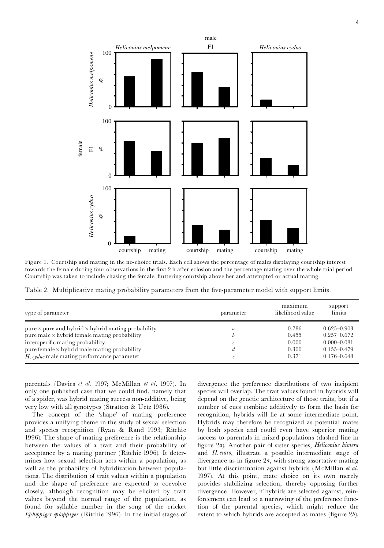

Figure 1. Courtship and mating in the no-choice trials. Each cell shows the percentage of males displaying courtship interest towards the female during four observations in the first 2 h after eclosion and the percentage mating over the whole trial period. Courtship was taken to include chasing the female, fluttering courtship above her and attempted or actual mating.

Table 2. Multiplicative mating probability parameters from the five-parameter model with support limits.

| type of parameter                                                | parameter | maximum<br>likelihood value | support<br>limits |
|------------------------------------------------------------------|-----------|-----------------------------|-------------------|
| pure $\times$ pure and hybrid $\times$ hybrid mating probability | a         | 0.786                       | $0.625 - 0.903$   |
| pure male x hybrid female mating probability                     | b         | 0.455                       | $0.257 - 0.672$   |
| interspecific mating probability                                 |           | 0.000                       | $0.000 - 0.081$   |
| pure female $\times$ hybrid male mating probability              | d         | 0.300                       | $0.155 - 0.479$   |
| $H$ . cydno male mating performance parameter                    | $\ell$    | 0.371                       | $0.176 - 0.648$   |

parentals (Davies *et al*. 1997; McMillan *et al*. 1997). In only one published case that we could find, namely that of a spider, was hybrid mating success non-additive, being very low with all genotypes (Stratton & Uetz 1986).

The concept of the `shape' of mating preference provides a unifying theme in the study of sexual selection and species recognition (Ryan & Rand 1993; Ritchie 1996). The shape of mating preference is the relationship between the values of a trait and their probability of acceptance by a mating partner (Ritchie 1996). It deter mines how sexual selection acts within a population, as well as the probability of hybridization between populations. The distribution of trait values within a population and the shape of preference are expected to coevolve closely, although recognition may be elicited by trait values beyond the normal range of the population, as found for syllable number in the song of the cricket *Ephippiger ephippiger* (Ritchie 1996). In the initial stages of divergence the preference distributions of two incipient species will overlap. The trait values found in hybrids will depend on the genetic architecture of those traits, but if a number of cues combine additively to form the basis for recognition, hybrids will lie at some intermediate point. Hybrids may therefore be recognized as potential mates by both species and could even have superior mating success to parentals in mixed populations (dashed line in ¢gure 2*a*). Another pair of sister species, *Heliconius himera* and *H. erato*, illustrate a possible intermediate stage of divergence as in figure 2*a*, with strong assortative mating but little discrimination against hybrids (McMillan *et al*. 1997). At this point, mate choice on its own merely provides stabilizing selection, thereby opposing further divergence. However, if hybrids are selected against, reinforcement can lead to a narrowing of the preference function of the parental species, which might reduce the extent to which hybrids are accepted as mates (figure  $2b$ ).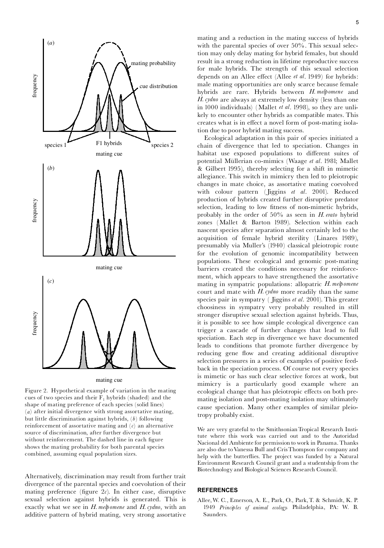



Figure 2. Hypothetical example of variation in the mating cues of two species and their  $\overline{F}_1$  hybrids (shaded) and the shape of mating preference of each species (solid lines) (*a*) after initial divergence with strong assortative mating, but little discrimination against hybrids, (*b*) following reinforcement of assortative mating and (*c*) an alternative source of discrimination, after further divergence but without reinforcement. The dashed line in each figure shows the mating probability for both parental species combined, assuming equal population sizes.

Alternatively, discrimination may result from further trait divergence of the parental species and coevolution of their mating preference (figure  $2c$ ). In either case, disruptive sexual selection against hybrids is generated. This is exactly what we see in *H. melpomene* and *H. cydno*, with an additive pattern of hybrid mating, very strong assortative mating and a reduction in the mating success of hybrids with the parental species of over 50%. This sexual selection may only delay mating for hybrid females, but should result in a strong reduction in lifetime reproductive success for male hybrids. The strength of this sexual selection depends on an Allee effect (Allee *et al.* 1949) for hybrids: male mating opportunities are only scarce because female hybrids are rare. Hybrids between *H. melpomene* and *H. cydno* are always at extremely low density (less than one in 1000 individuals) (Mallet *et al*. 1998), so they are unli kely to encounter other hybrids as compatible mates. This creates what is in effect a novel form of post-mating isolation due to poor hybrid mating success.

Ecological adaptation in this pair of species initiated a chain of divergence that led to speciation. Changes in habitat use exposed populations to different suites of potential MÏllerian co-mimics (Waage *et al*. 1981; Mallet & Gilbert 1995), thereby selecting for a shift in mimetic allegiance. This switch in mimicry then led to pleiotropic changes in mate choice, as assortative mating coevolved with colour pattern ( Jiggins *et al*. 2001). Reduced production of hybrids created further disruptive predator selection, leading to low fitness of non-mimetic hybrids, probably in the order of 50% as seen in *H. erato* hybrid zones (Mallet & Barton 1989). Selection within each nascent species after separation almost certainly led to the acquisition of female hybrid sterility (Linares 1989), presumably via Muller's (1940) classical pleiotropic route for the evolution of genomic incompatibility between populations. These ecological and genomic post-mating barriers created the conditions necessary for reinforce ment, which appears to have strengthened the assortative mating in sympatric populations: allopatric *H. melpomene* court and mate with *H. cydno* more readily than the same species pair in sympatry ( Jiggins *et al*. 2001). This greater choosiness in sympatry very probably resulted in still stronger disruptive sexual selection against hybrids. Thus, it is possible to see how simple ecological divergence can trigger a cascade of further changes that lead to full speciation. Each step in divergence we have documented leads to conditions that promote further divergence by reducing gene flow and creating additional disruptive selection pressures in a series of examples of positive feed back in the speciation process. Of course not every species is mimetic or has such clear selective forces at work, but mimicry is a particularly good example where an ecological change that has pleiotropic effects on both premating isolation and post-mating isolation may ultimately cause speciation. Many other examples of similar pleiotropy probably exist.

We are very grateful to the Smithsonian Tropical Research Institute where this work was carried out and to the Autoridad Nacional del Ambiente for permission to work in Panama. Thanks are also due toVanessa Bull and CrisThompson for company and help with the butterflies. The project was funded by a Natural Environment Research Council grant and a studentship from the Biotechnology and Biological Sciences Research Council.

## **REFERENCES**

Allee,W. C., Emerson, A. E., Park, O., Park,T. & Schmidt, K. P. 1949 *Principles of animal ecology*. Philadelphia, PA: W. B. Saunders.